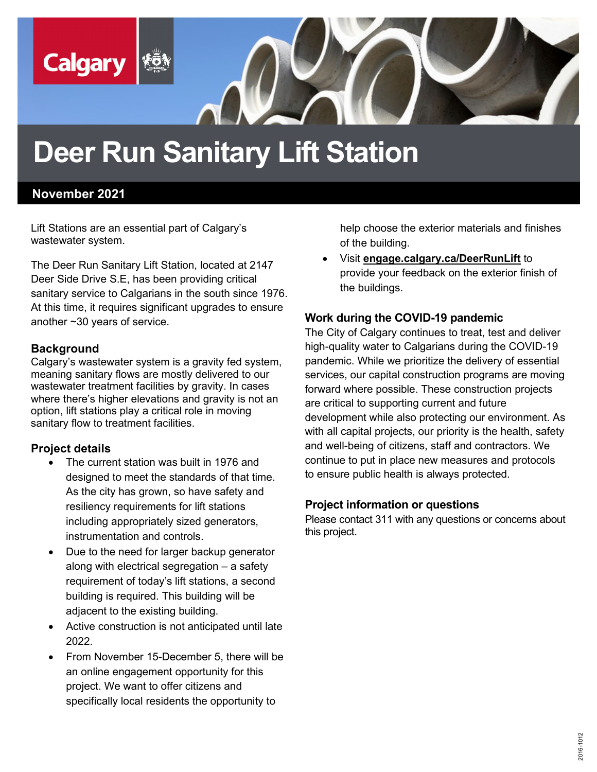

# **Deer Run Sanitary Lift Station**

### **November 2021**

Lift Stations are an essential part of Calgary's wastewater system.

The Deer Run Sanitary Lift Station, located at 2147 Deer Side Drive S.E, has been providing critical sanitary service to Calgarians in the south since 1976. At this time, it requires significant upgrades to ensure another ~30 years of service.

#### **Background**

Calgary's wastewater system is a gravity fed system, meaning sanitary flows are mostly delivered to our wastewater treatment facilities by gravity. In cases where there's higher elevations and gravity is not an option, lift stations play a critical role in moving sanitary flow to treatment facilities.

#### **Project details**

- The current station was built in 1976 and designed to meet the standards of that time. As the city has grown, so have safety and resiliency requirements for lift stations including appropriately sized generators, instrumentation and controls.
- Due to the need for larger backup generator along with electrical segregation – a safety requirement of today's lift stations, a second building is required. This building will be adjacent to the existing building.
- Active construction is not anticipated until late 2022.
- From November 15-December 5, there will be an online engagement opportunity for this project. We want to offer citizens and specifically local residents the opportunity to

help choose the exterior materials and finishes of the building.

• Visit **engage.calgary.ca/DeerRunLift** to provide your feedback on the exterior finish of the buildings.

#### **Work during the COVID-19 pandemic**

The City of Calgary continues to treat, test and deliver high-quality water to Calgarians during the COVID-19 pandemic. While we prioritize the delivery of essential services, our capital construction programs are moving forward where possible. These construction projects are critical to supporting current and future development while also protecting our environment. As with all capital projects, our priority is the health, safety and well-being of citizens, staff and contractors. We continue to put in place new measures and protocols to ensure public health is always protected.

#### **Project information or questions**

Please contact 311 with any questions or concerns about this project.